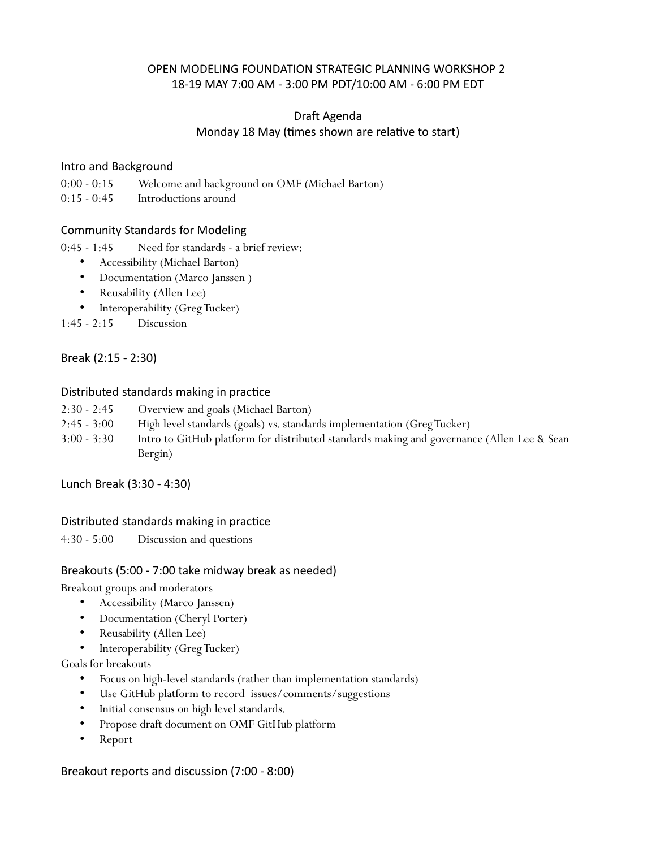## OPEN MODELING FOUNDATION STRATEGIC PLANNING WORKSHOP 2 18-19 MAY 7:00 AM - 3:00 PM PDT/10:00 AM - 6:00 PM EDT

# Draft Agenda Monday 18 May (times shown are relative to start)

#### Intro and Background

0:00 - 0:15 Welcome and background on OMF (Michael Barton)

0:15 - 0:45 Introductions around

## Community Standards for Modeling

0:45 - 1:45 Need for standards - a brief review:

- Accessibility (Michael Barton)
- Documentation (Marco Janssen )
- Reusability (Allen Lee)
- Interoperability (Greg Tucker)

1:45 - 2:15 Discussion

Break (2:15 - 2:30)

#### Distributed standards making in practice

- 2:30 2:45 Overview and goals (Michael Barton)
- 2:45 3:00 High level standards (goals) vs. standards implementation (Greg Tucker)
- 3:00 3:30 Intro to GitHub platform for distributed standards making and governance (Allen Lee & Sean Bergin)

Lunch Break (3:30 - 4:30)

## Distributed standards making in practice

4:30 - 5:00 Discussion and questions

#### Breakouts (5:00 - 7:00 take midway break as needed)

Breakout groups and moderators

- Accessibility (Marco Janssen)
- Documentation (Cheryl Porter)
- Reusability (Allen Lee)
- Interoperability (Greg Tucker)

Goals for breakouts

- Focus on high-level standards (rather than implementation standards)
- Use GitHub platform to record issues/comments/suggestions
- Initial consensus on high level standards.
- Propose draft document on OMF GitHub platform
- Report

Breakout reports and discussion (7:00 - 8:00)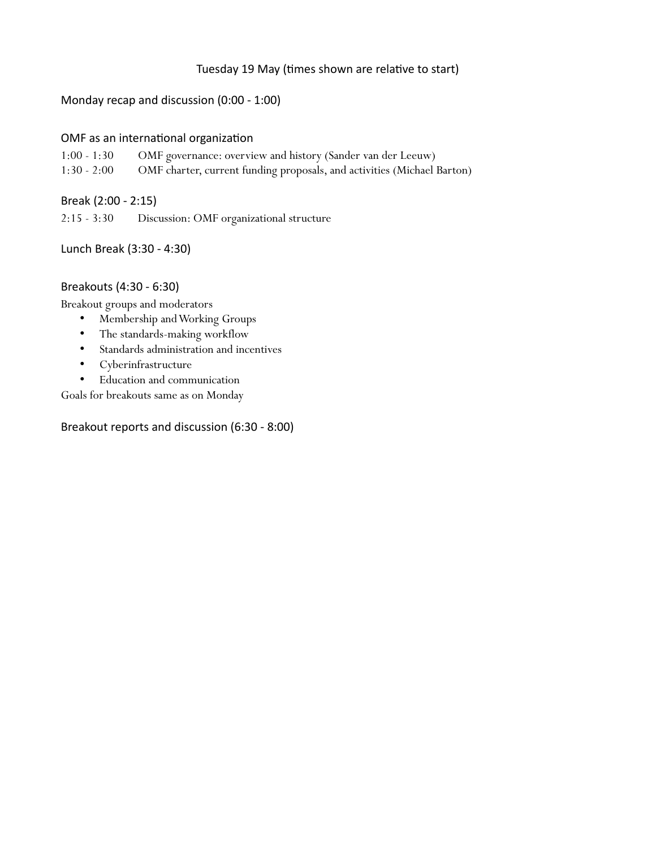## Tuesday 19 May (times shown are relative to start)

## Monday recap and discussion (0:00 - 1:00)

## OMF as an international organization

- 1:00 1:30 OMF governance: overview and history (Sander van der Leeuw)
- 1:30 2:00 OMF charter, current funding proposals, and activities (Michael Barton)

Break (2:00 - 2:15)

2:15 - 3:30 Discussion: OMF organizational structure

Lunch Break (3:30 - 4:30)

#### Breakouts (4:30 - 6:30)

Breakout groups and moderators

- Membership and Working Groups
- The standards-making workflow
- Standards administration and incentives
- Cyberinfrastructure
- Education and communication

Goals for breakouts same as on Monday

Breakout reports and discussion (6:30 - 8:00)